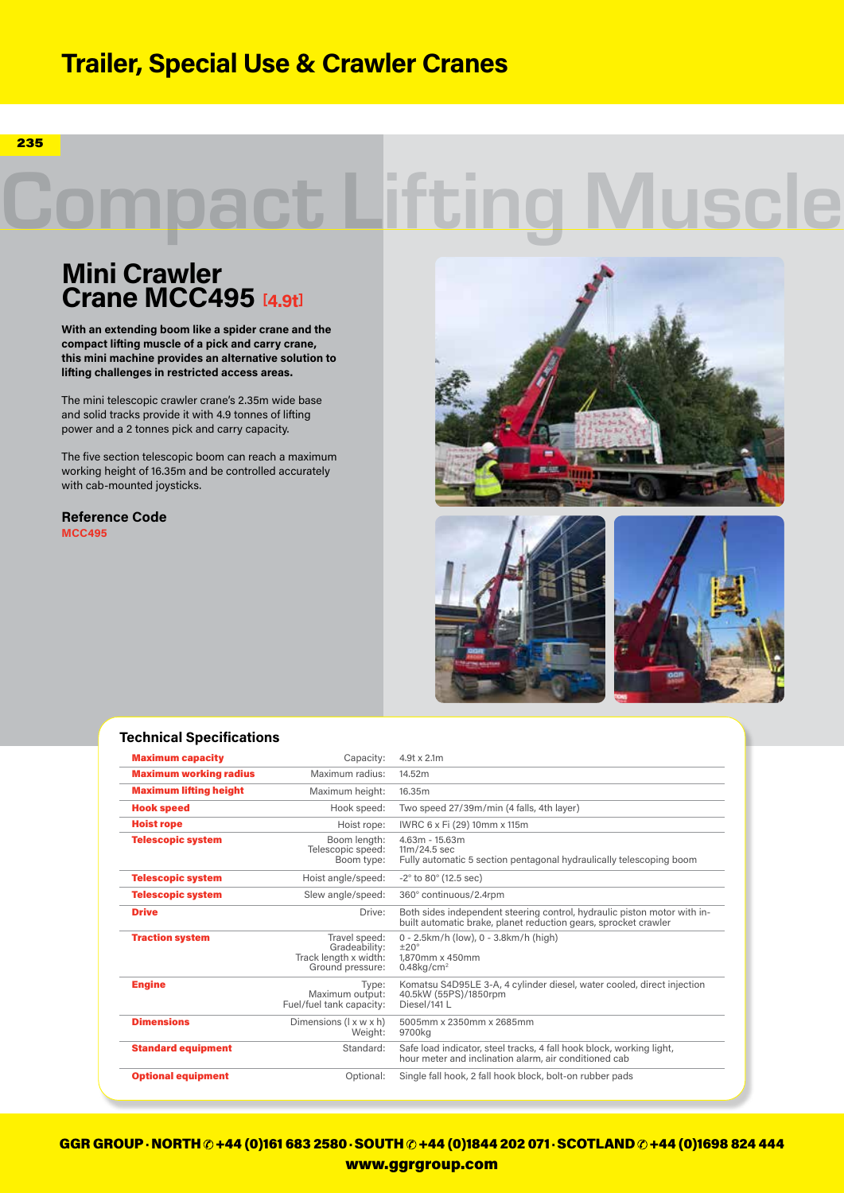## **Trailer, Special Use & Crawler Cranes**

235

# pact Lifting Muscle

### **Mini Crawler Crane MCC495 [4.9t]**

**With an extending boom like a spider crane and the compact lifting muscle of a pick and carry crane, this mini machine provides an alternative solution to lifting challenges in restricted access areas.**

The mini telescopic crawler crane's 2.35m wide base and solid tracks provide it with 4.9 tonnes of lifting power and a 2 tonnes pick and carry capacity.

The five section telescopic boom can reach a maximum working height of 16.35m and be controlled accurately with cab-mounted joysticks.

**Reference Code MCC495**







#### **Technical Specifications**

| <b>Maximum capacity</b>       | Capacity:                                                                   | $4.9t \times 2.1m$                                                                                                                          |  |  |  |  |
|-------------------------------|-----------------------------------------------------------------------------|---------------------------------------------------------------------------------------------------------------------------------------------|--|--|--|--|
| <b>Maximum working radius</b> | Maximum radius:                                                             | 14.52m                                                                                                                                      |  |  |  |  |
| <b>Maximum lifting height</b> | Maximum height:                                                             | 16.35m                                                                                                                                      |  |  |  |  |
| <b>Hook speed</b>             | Hook speed:                                                                 | Two speed 27/39m/min (4 falls, 4th layer)                                                                                                   |  |  |  |  |
| <b>Hoist rope</b>             | Hoist rope:                                                                 | IWRC 6 x Fi (29) 10mm x 115m                                                                                                                |  |  |  |  |
| <b>Telescopic system</b>      | Boom lenath:<br>Telescopic speed:<br>Boom type:                             | 4,63m - 15,63m<br>$11m/24.5$ sec<br>Fully automatic 5 section pentagonal hydraulically telescoping boom                                     |  |  |  |  |
| <b>Telescopic system</b>      | Hoist angle/speed:                                                          | $-2^{\circ}$ to 80 $^{\circ}$ (12.5 sec)                                                                                                    |  |  |  |  |
| <b>Telescopic system</b>      | Slew angle/speed:                                                           | 360° continuous/2.4rpm                                                                                                                      |  |  |  |  |
| <b>Drive</b>                  | Drive:                                                                      | Both sides independent steering control, hydraulic piston motor with in-<br>built automatic brake, planet reduction gears, sprocket crawler |  |  |  |  |
| <b>Traction system</b>        | Travel speed:<br>Gradeability:<br>Track length x width:<br>Ground pressure: | 0 - 2.5km/h (low), 0 - 3.8km/h (high)<br>±20°<br>1.870mm x 450mm<br>$0.48$ kg/cm <sup>2</sup>                                               |  |  |  |  |
| <b>Engine</b>                 | Type:<br>Maximum output:<br>Fuel/fuel tank capacity:                        | Komatsu S4D95LE 3-A, 4 cylinder diesel, water cooled, direct injection<br>40.5kW (55PS)/1850rpm<br>Diesel/141L                              |  |  |  |  |
| <b>Dimensions</b>             | Dimensions $(l \times w \times h)$<br>Weight:                               | 5005mm x 2350mm x 2685mm<br>9700kg                                                                                                          |  |  |  |  |
| <b>Standard equipment</b>     | Standard:                                                                   | Safe load indicator, steel tracks, 4 fall hook block, working light,<br>hour meter and inclination alarm, air conditioned cab               |  |  |  |  |
| <b>Optional equipment</b>     | Optional:                                                                   | Single fall hook, 2 fall hook block, bolt-on rubber pads                                                                                    |  |  |  |  |

GGR GROUP · NORTH  $\odot$  +44 (0)161 683 2580 · SOUTH  $\odot$  +44 (0)1844 202 071 · SCOTLAND  $\odot$  +44 (0)1698 824 444 www.ggrgroup.com